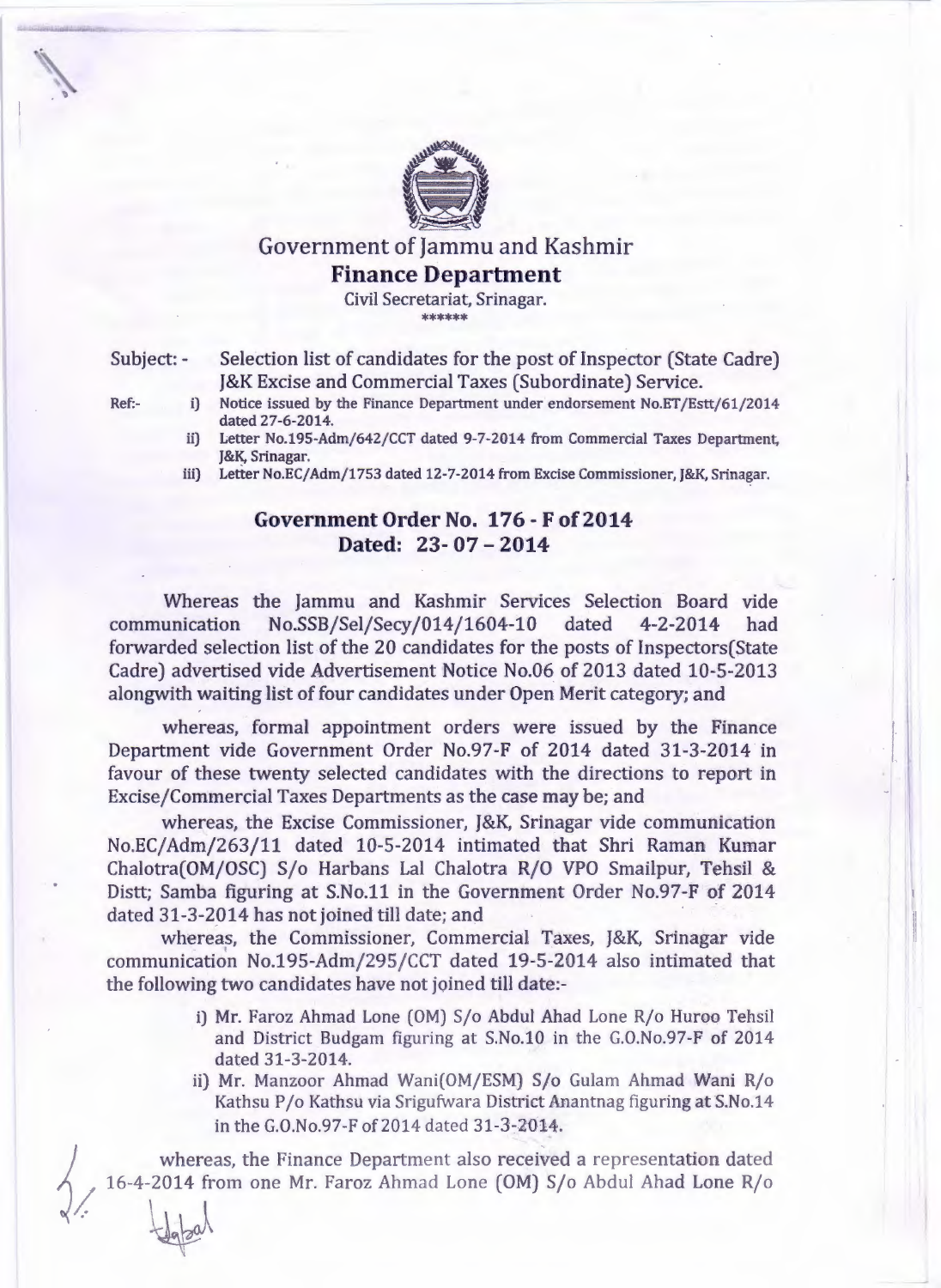

## Government of Jammu and Kashmir **Finance Department**

Civil Secretariat, Srinagar. \*\*\*\*\*\*

 $\pm$ dapal

Subject: - Selection list of candidates for the post of Inspector (State Cadre) J&K Excise and Commercial Taxes (Subordinate) Service.

- Ref: i) Notice issued by the Finance Department under endorsement No.ET/Estt/61/2014 dated 27-6-2014.
	- ii) Letter No.195-Adm/642/CCT dated 9-7-2014 from Commercial Taxes Department, J&K, Srinagar.
	- iii) Letter No.EC/Adm/1753 dated 12-7-2014 from Excise Commissioner, J&K, Srinagar.

## **Government Order** No. **176 - F of2014 Dated:** 23- 07 - **2014**

Whereas the Jammu and Kashmir Services Selection Board vide communication No.SSB/Sel/Secy/014/1604-10 dated 4-2-2014 had forwarded selection list of the 20 candidates for the posts of Inspectors(State Cadre) advertised vide Advertisement Notice No.06 of 2013 dated 10-5-2013 alongwith waiting list of four candidates under Open Merit category; and

whereas, formal appointment orders were issued by the Finance Department vide Government Order No.97-F of 2014 dated 31-3-2014 in favour of these twenty selected candidates with the directions to report in Excise/Commercial Taxes Departments as the case may be; and

whereas, the Excise Commissioner, J&K, Srinagar vide communication No.EC/Adm/263/11 dated 10-5-2014 intimated that Shri Raman Kumar Chalotra(OM/OSC) S/o Harbans Lal Chalotra R/O VPO Smailpur, Tehsil & Distt; Samba figuring at S.No.11 in the Government Order No.97-F of 2014 dated 31-3-2014 has not joined till date; and

whereas, the Commissioner, Commercial Taxes, J&K, Srinagar vide communication No.195-Adm/295/CCT dated 19-5-2014 also intimated that the following two candidates have not joined till date:-

- i) Mr. Faroz Ahmad Lone (OM) S/o Abdul Ahad Lone R/o Huroo Tehsil and District Budgam figuring at S.No.10 in the G.O.No.97-F of 2014 dated 31-3-2014.
- ii) Mr. Manzoor Ahmad Wani(OM/ESM) S/o Gulam Ahmad Wani R/o Kathsu P/o Kathsu via Srigufwara District Anantnag figuring at S.No.14 in the G.O.No.97-F of 2014 dated 31-3-2014.

whereas, the Finance Department also received a representation dated 16-4-2014 from one Mr. Faroz Ahmad Lone (OM) S/o Abdul Ahad Lone R/o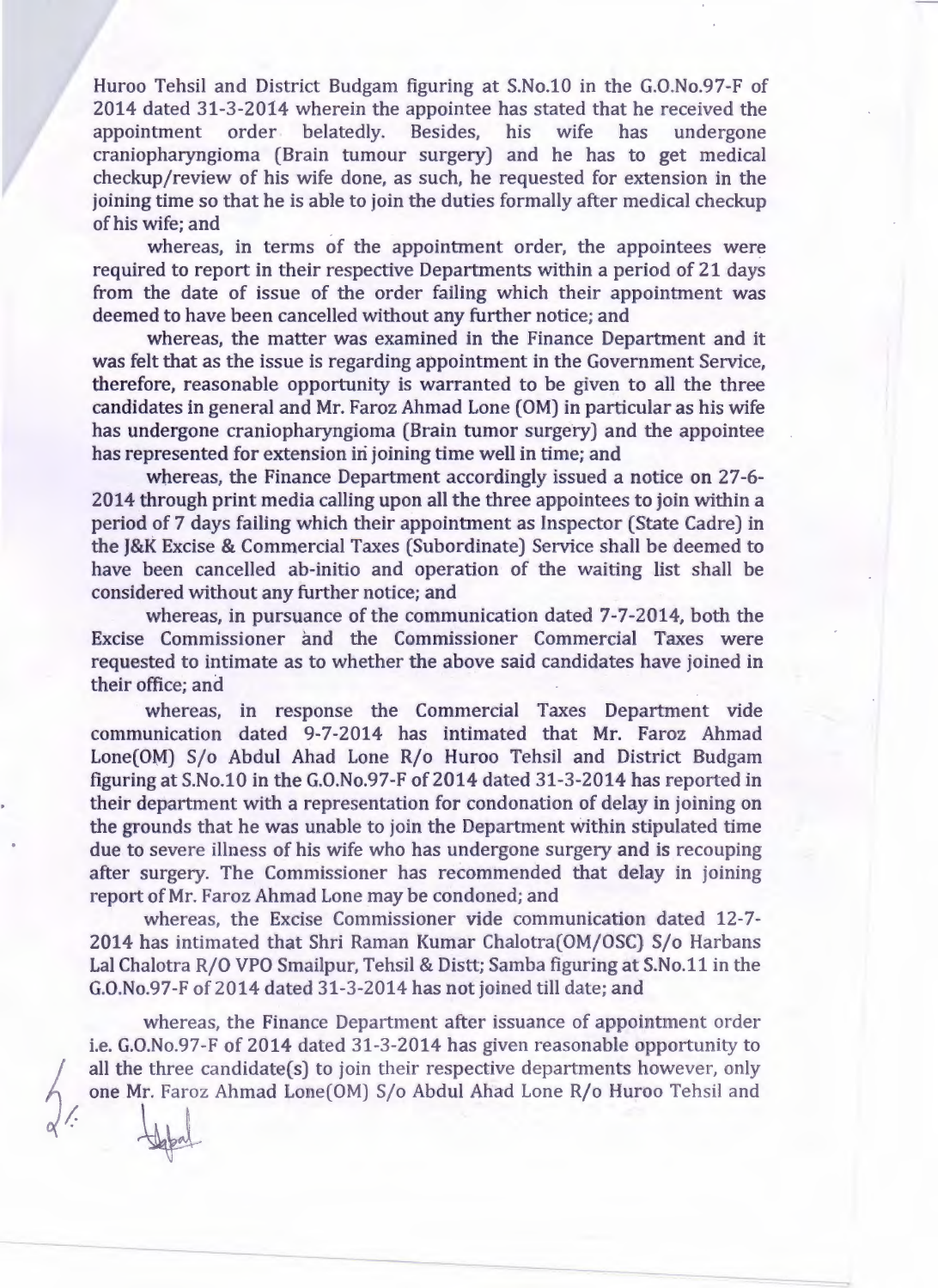Huroo Tehsil and District Budgam figuring at S.No.10 in the G.0.No.97-F of 2014 dated 31-3-2014 wherein the appointee has stated that he received the appointment order belatedly. Besides, his wife has undergone craniopharyngioma (Brain tumour surgery) and he has to get medical checkup/review of his wife done, as such, he requested for extension in the joining time so that he is able to join the duties formally after medical checkup of his wife; and

whereas, in terms of the appointment order, the appointees were required to report in their respective Departments within a period of 21 days from the date of issue of the order failing which their appointment was deemed to have been cancelled without any further notice; and

whereas, the matter was examined in the Finance Department and it was felt that as the issue is regarding appointment in the Government Service, therefore, reasonable opportunity is warranted to be given to all the three candidates in general and Mr. Faroz Ahmad Lone (OM) in particular as his wife has undergone craniopharyngioma (Brain tumor surgery) and the appointee has represented for extension in joining time well in time; and

whereas, the Finance Department accordingly issued a notice on 27-6-2014 through print media calling upon all the three appointees to join within a period of 7 days failing which their appointment as Inspector (State Cadre) in the J&K Excise & Commercial Taxes (Subordinate) Service shall be deemed to have been cancelled ab-initio and operation of the waiting list shall be considered without any further notice; and

whereas, in pursuance of the communication dated 7-7-2014, both the Excise Commissioner and the Commissioner Commercial Taxes were requested to intimate as to whether the above said candidates have joined in their office; and

whereas, in response the Commercial Taxes Department vide communication dated 9-7-2014 has intimated that Mr. Faroz Ahmad Lone(OM) S/o Abdul Ahad Lone R/o Huroo Tehsil and District Budgam figuring at S.No.10 in the G.O.No.97-F of 2014 dated 31-3-2014 has reported in their department with a representation for condonation of delay in joining on the grounds that he was unable to join the Department within stipulated time due to severe illness of his wife who has undergone surgery and is recouping after surgery. The Commissioner has recommended that delay in joining report of Mr. Faroz Ahmad Lone may be condoned; and

whereas, the Excise Commissioner vide communication dated 12-7- 2014 has intimated that Shri Raman Kumar Chalotra(OM/OSC) S/o Harbans Lal Chalotra R/O VPO Smailpur, Tehsil & Distt; Samba figuring at S.No.11 in the G.0.No.97-F of 2014 dated 31-3-2014 has not joined till date; and

whereas, the Finance Department after issuance of appointment order i.e. G.O.No.97-F of 2014 dated 31-3-2014 has given reasonable opportunity to all the three candidate(s) to join their respective departments however, only one Mr. Faroz Ahmad Lone(OM) S/o Abdul Ahad Lone R/o Huroo Tehsil and

---.

 $\frac{1}{\sqrt{2}}$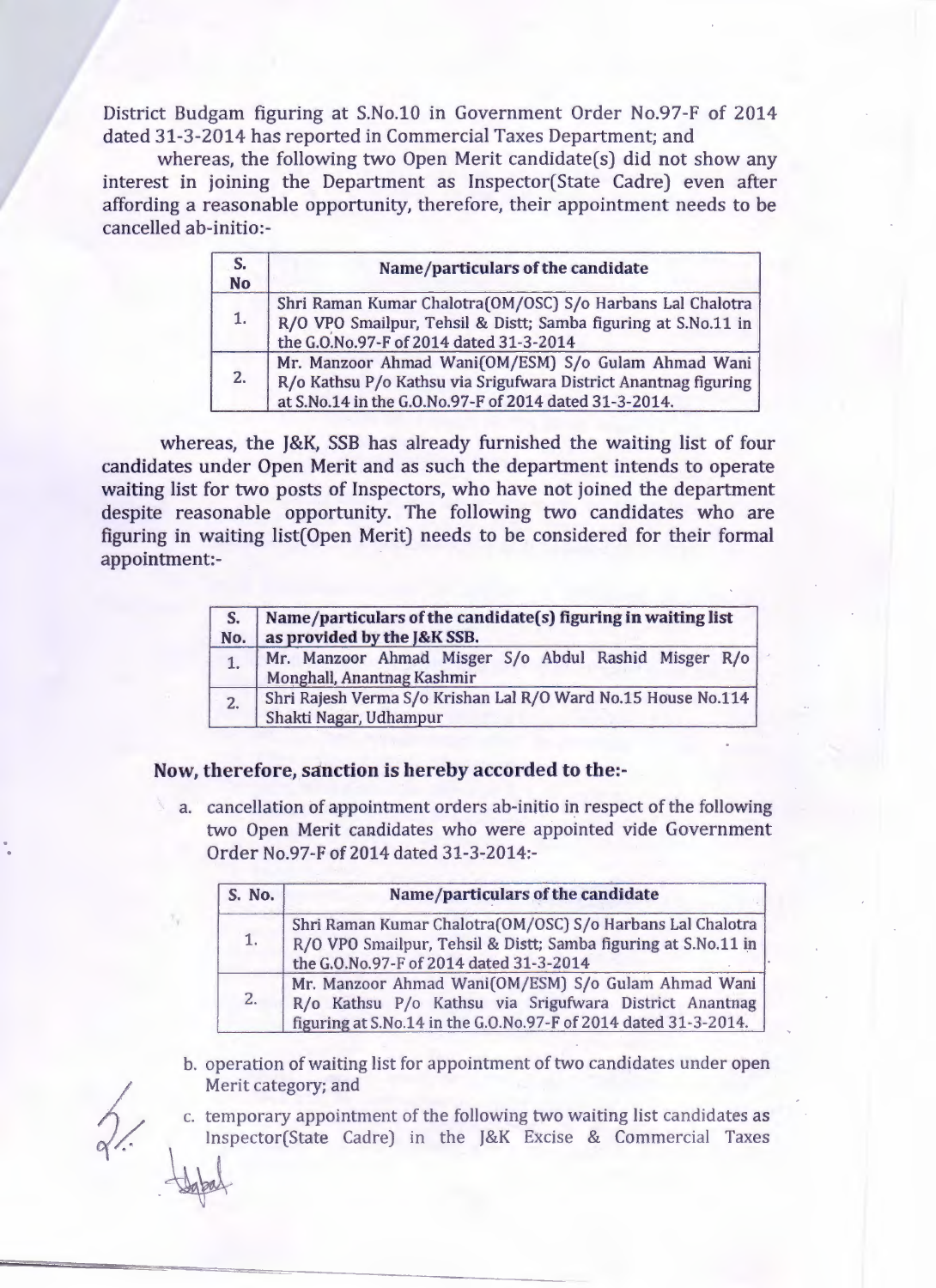District Budgam figuring at S.No.10 in Government Order No.97-F of 2014 dated 31-3-2014 has reported in Commercial Taxes Department; and

whereas, the following two Open Merit candidate(s) did not show any interest in joining the Department as Inspector(State Cadre) even after affording a reasonable opportunity, therefore, their appointment needs to be cancelled ab-initio:-

| S.<br><b>No</b> | Name/particulars of the candidate                                                                                                                                                |  |  |  |
|-----------------|----------------------------------------------------------------------------------------------------------------------------------------------------------------------------------|--|--|--|
| 1.              | Shri Raman Kumar Chalotra(OM/OSC) S/o Harbans Lal Chalotra<br>R/O VPO Smailpur, Tehsil & Distt; Samba figuring at S.No.11 in<br>the G.O.No.97-F of 2014 dated 31-3-2014          |  |  |  |
| 2.              | Mr. Manzoor Ahmad Wani(OM/ESM) S/o Gulam Ahmad Wani<br>R/o Kathsu P/o Kathsu via Srigufwara District Anantnag figuring<br>at S.No.14 in the G.O.No.97-F of 2014 dated 31-3-2014. |  |  |  |

whereas, the J&K, SSB has already furnished the waiting list of four candidates under Open Merit and as such the department intends to operate waiting list for two posts of Inspectors, who have not joined the department despite reasonable opportunity. The following two candidates who are figuring in waiting list(Open Merit) needs to be considered for their formal appointment:-

| No. | Name/particulars of the candidate(s) figuring in waiting list<br>as provided by the J&K SSB. |  |  |  |  |
|-----|----------------------------------------------------------------------------------------------|--|--|--|--|
| 1.  | Mr. Manzoor Ahmad Misger S/o Abdul Rashid Misger R/o<br>Monghall, Anantnag Kashmir           |  |  |  |  |
| 2.  | Shri Rajesh Verma S/o Krishan Lal R/O Ward No.15 House No.114<br>Shakti Nagar, Udhampur      |  |  |  |  |

## Now, therefore, sanction is hereby accorded to the:-

a. cancellation of appointment orders ab-initio in respect of the following two Open Merit candidates who were appointed vide Government Order No.97-F of 2014 dated 31-3-2014:-

| S. No. | Name/particulars of the candidate                                                                                                                                                |  |  |
|--------|----------------------------------------------------------------------------------------------------------------------------------------------------------------------------------|--|--|
| 1.     | Shri Raman Kumar Chalotra(OM/OSC) S/o Harbans Lal Chalotra<br>R/O VPO Smailpur, Tehsil & Distt; Samba figuring at S.No.11 in<br>the G.O.No.97-F of 2014 dated 31-3-2014          |  |  |
| 2.     | Mr. Manzoor Ahmad Wani(OM/ESM) S/o Gulam Ahmad Wani<br>R/o Kathsu P/o Kathsu via Srigufwara District Anantnag<br>figuring at S.No.14 in the G.O.No.97-F of 2014 dated 31-3-2014. |  |  |

b. operation of waiting list for appointment of two candidates under open Merit category; and

c. temporary appointment of the following two waiting list candidates as Inspector(State Cadre) in the J&K Excise & Commercial Taxes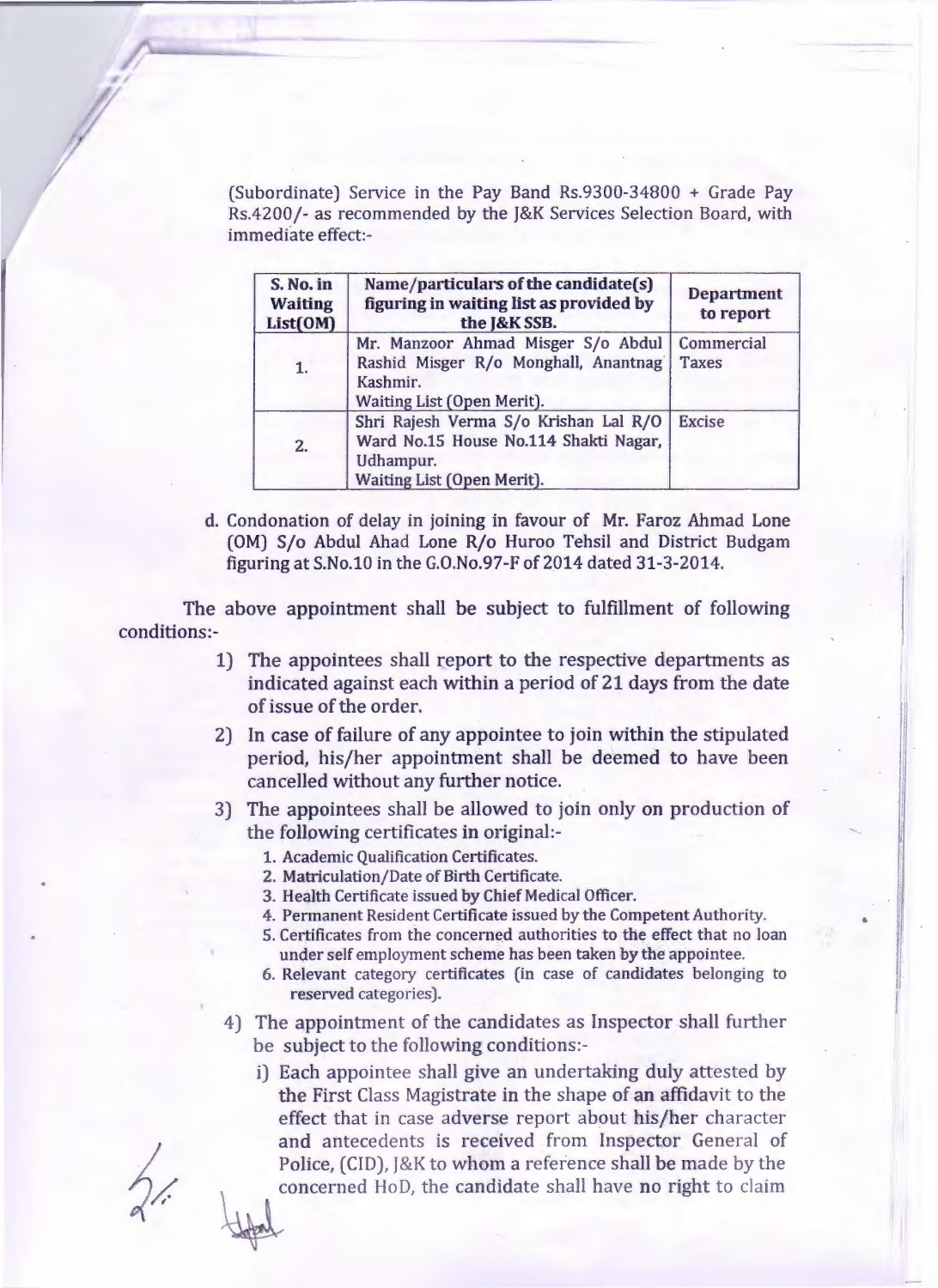(Subordinate) Service in the Pay Band Rs.9300-34800 + Grade Pay Rs.4200/- as recommended by the J&K Services Selection Board, with immediate effect:-

| S. No. in<br><b>Waiting</b><br>List(OM) | Name/particulars of the candidate(s)<br>figuring in waiting list as provided by<br>the J&K SSB.                           | <b>Department</b><br>to report |
|-----------------------------------------|---------------------------------------------------------------------------------------------------------------------------|--------------------------------|
| 1.                                      | Mr. Manzoor Ahmad Misger S/o Abdul<br>Rashid Misger R/o Monghall, Anantnag<br>Kashmir.<br>Waiting List (Open Merit).      | Commercial<br><b>Taxes</b>     |
| 2.                                      | Shri Rajesh Verma S/o Krishan Lal R/O<br>Ward No.15 House No.114 Shakti Nagar,<br>Udhampur.<br>Waiting List (Open Merit). | <b>Excise</b>                  |

d. Condonation of delay in joining in favour of Mr. Faroz Ahmad Lone (OM) S/o Abdul Ahad Lone R/o Huroo Tehsil and District Budgam figuring at S.No.10 in the G.O.No.97-F of 2014 dated 31-3-2014.

The above appointment shall be subject to fulfillment of following conditions:-

- 1) The appointees shall report to the respective departments as indicated against each within a period of 21 days from the date of issue of the order.
- 2) In case of failure of any appointee to join within the stipulated period, his/her appointment shall be deemed to have been cancelled without any further notice.
- 3) The appointees shall be allowed to join only on production of the following certificates in original:-
	- 1. Academic Qualification Certificates.
	- 2. Matriculation/Date of Birth Certificate.
	- 3. Health Certificate issued by Chief Medical Officer.
	- 4. Permanent Resident Certificate issued by the Competent Authority.
	- 5. Certificates from the concerned authorities to the effect that no loan under self employment scheme has been taken by the appointee.

•

I I I

I I

- 6. Relevant category certificates (in case of candidates belonging to reserved categories).
- 4) The appointment of the candidates as Inspector shall further be subject to the following conditions:
	- i) Each appointee shall give an undertaking duly attested by the First Class Magistrate in the shape of an affidavit to the effect that in case adverse report about his/her character and antecedents is received from Inspector General of Police, (CID), J&K to whom a reference shall be made by the concerned HoD, the candidate shall have no right to claim

/

r f